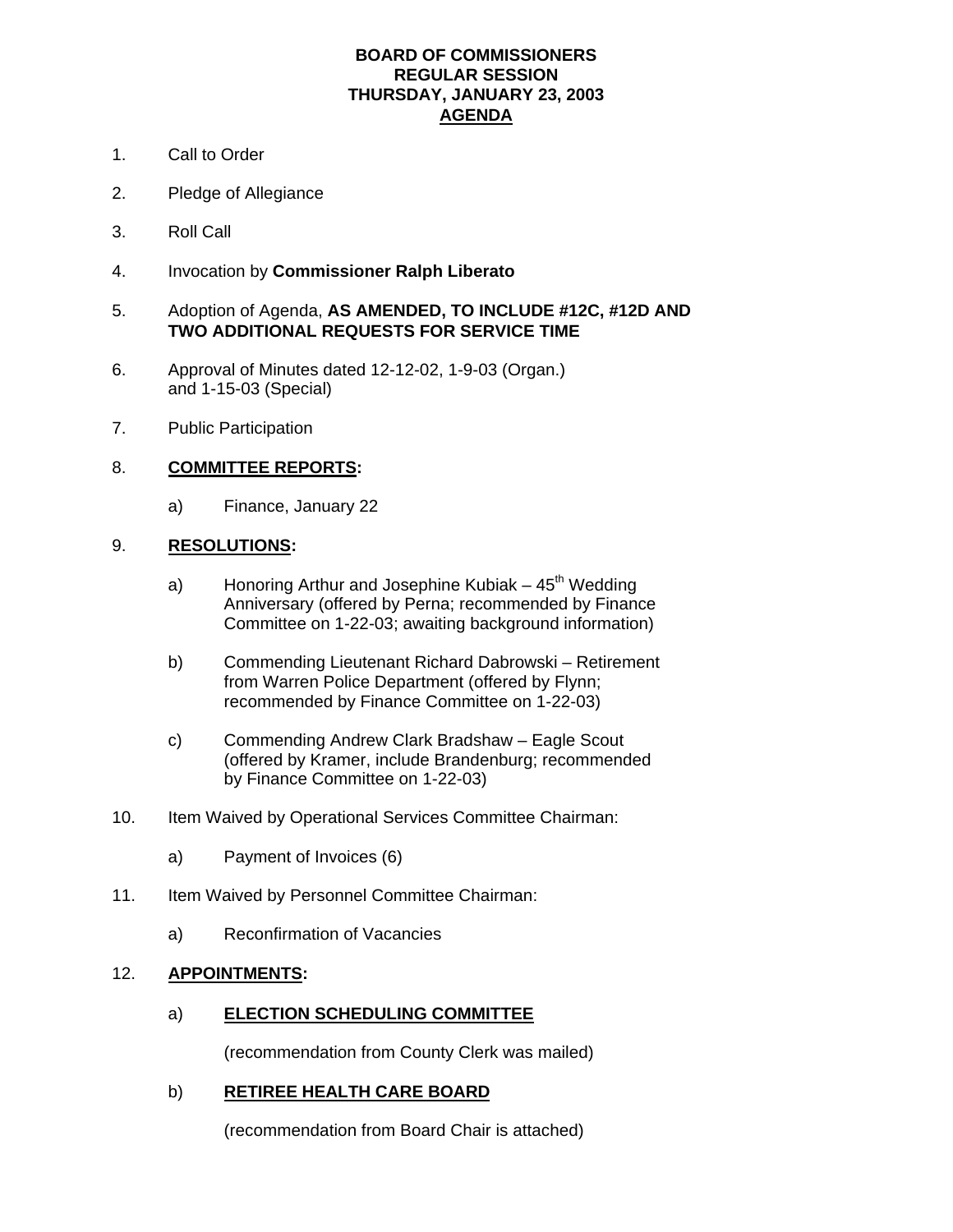# **BOARD OF COMMISSIONERS REGULAR SESSION THURSDAY, JANUARY 23, 2003 AGENDA**

- 1. Call to Order
- 2. Pledge of Allegiance
- 3. Roll Call
- 4. Invocation by **Commissioner Ralph Liberato**

### 5. Adoption of Agenda, **AS AMENDED, TO INCLUDE #12C, #12D AND TWO ADDITIONAL REQUESTS FOR SERVICE TIME**

- 6. Approval of Minutes dated 12-12-02, 1-9-03 (Organ.) and 1-15-03 (Special)
- 7. Public Participation

# 8. **COMMITTEE REPORTS:**

a) Finance, January 22

# 9. **RESOLUTIONS:**

- a) Honoring Arthur and Josephine Kubiak  $45<sup>th</sup>$  Wedding Anniversary (offered by Perna; recommended by Finance Committee on 1-22-03; awaiting background information)
- b) Commending Lieutenant Richard Dabrowski Retirement from Warren Police Department (offered by Flynn; recommended by Finance Committee on 1-22-03)
- c) Commending Andrew Clark Bradshaw Eagle Scout (offered by Kramer, include Brandenburg; recommended by Finance Committee on 1-22-03)
- 10. Item Waived by Operational Services Committee Chairman:
	- a) Payment of Invoices (6)
- 11. Item Waived by Personnel Committee Chairman:
	- a) Reconfirmation of Vacancies

#### 12. **APPOINTMENTS:**

a) **ELECTION SCHEDULING COMMITTEE**

(recommendation from County Clerk was mailed)

#### b) **RETIREE HEALTH CARE BOARD**

(recommendation from Board Chair is attached)